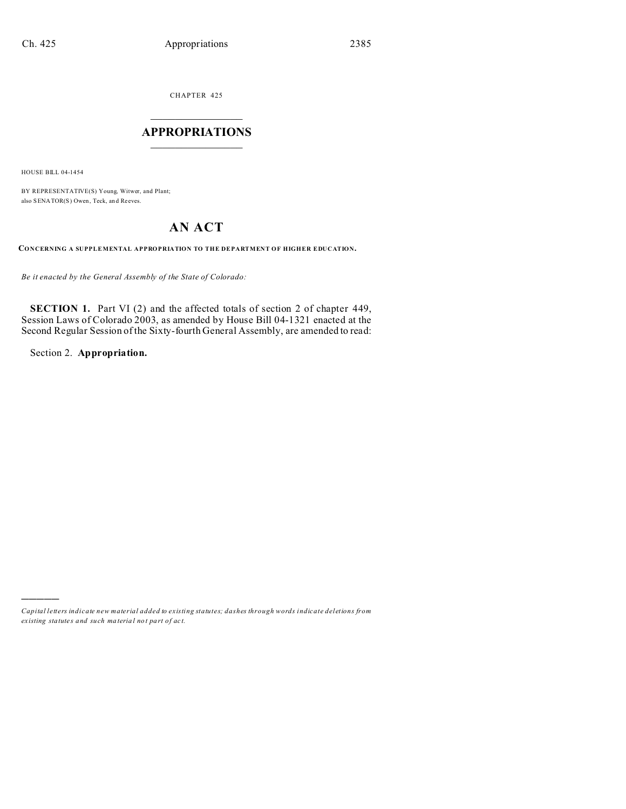CHAPTER 425  $\overline{\phantom{a}}$  , where  $\overline{\phantom{a}}$ 

## **APPROPRIATIONS**  $\_$   $\_$   $\_$   $\_$   $\_$   $\_$   $\_$   $\_$

HOUSE BILL 04-1454

)))))

BY REPRESENTATIVE(S) Young, Witwer, and Plant; also SENATOR(S) Owen, Teck, an d Reeves.

## **AN ACT**

**CONCERNING A SUPPLEMENTAL APPROPRIATION TO THE DEPARTMENT OF HIGHER EDUCATION.**

*Be it enacted by the General Assembly of the State of Colorado:*

**SECTION 1.** Part VI (2) and the affected totals of section 2 of chapter 449, Session Laws of Colorado 2003, as amended by House Bill 04-1321 enacted at the Second Regular Session of the Sixty-fourth General Assembly, are amended to read:

Section 2. **Appropriation.**

*Capital letters indicate new material added to existing statutes; dashes through words indicate deletions from ex isting statute s and such ma teria l no t pa rt of ac t.*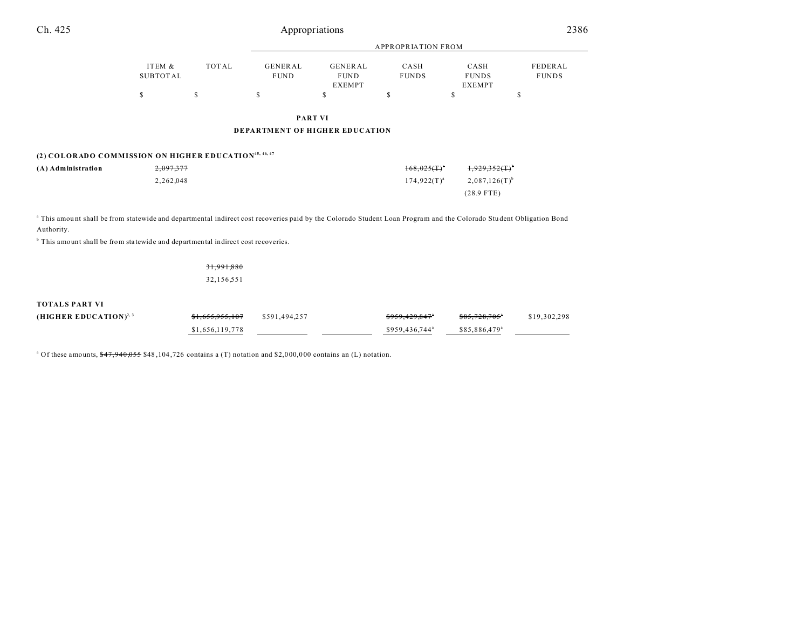| Ch. 425                                                                                                                                                                                                                                                                         | Appropriations            |            |                                       |                                                |                            |                                       |                         |
|---------------------------------------------------------------------------------------------------------------------------------------------------------------------------------------------------------------------------------------------------------------------------------|---------------------------|------------|---------------------------------------|------------------------------------------------|----------------------------|---------------------------------------|-------------------------|
|                                                                                                                                                                                                                                                                                 |                           |            | <b>APPROPRIATION FROM</b>             |                                                |                            |                                       |                         |
|                                                                                                                                                                                                                                                                                 | ITEM &<br><b>SUBTOTAL</b> | TOTAL      | GENERAL<br><b>FUND</b>                | <b>GENERAL</b><br><b>FUND</b><br><b>EXEMPT</b> | CASH<br><b>FUNDS</b>       | CASH<br><b>FUNDS</b><br><b>EXEMPT</b> | FEDERAL<br><b>FUNDS</b> |
|                                                                                                                                                                                                                                                                                 | \$                        | \$         | \$                                    | \$                                             | \$                         | \$                                    | \$                      |
|                                                                                                                                                                                                                                                                                 |                           |            | <b>PART VI</b>                        |                                                |                            |                                       |                         |
|                                                                                                                                                                                                                                                                                 |                           |            | <b>DEPARTMENT OF HIGHER EDUCATION</b> |                                                |                            |                                       |                         |
| (2) COLORADO COMMISSION ON HIGHER EDUCATION <sup>45, 46, 47</sup>                                                                                                                                                                                                               |                           |            |                                       |                                                |                            |                                       |                         |
| (A) Administration                                                                                                                                                                                                                                                              | 2,097,377                 |            |                                       |                                                | $168,025($ T) <sup>*</sup> | 1.929.352(T)                          |                         |
|                                                                                                                                                                                                                                                                                 | 2,262,048                 |            |                                       |                                                | $174,922(T)^{a}$           | $2,087,126(T)$ <sup>b</sup>           |                         |
|                                                                                                                                                                                                                                                                                 |                           |            |                                       |                                                |                            | $(28.9$ FTE)                          |                         |
| a This amount shall be from statewide and departmental indirect cost recoveries paid by the Colorado Student Loan Program and the Colorado Student Obligation Bond<br>Authority.<br><sup>b</sup> This amount shall be from statewide and departmental indirect cost recoveries. |                           |            |                                       |                                                |                            |                                       |                         |
|                                                                                                                                                                                                                                                                                 |                           | 31,991,880 |                                       |                                                |                            |                                       |                         |
|                                                                                                                                                                                                                                                                                 |                           | 32,156,551 |                                       |                                                |                            |                                       |                         |
| <b>TOTALS PART VI</b>                                                                                                                                                                                                                                                           |                           |            |                                       |                                                |                            |                                       |                         |

| $(HIGHER EDUCATION)^{2,3}$ | <del>\$1,655,955,107</del> | \$591,494,257 | <del>\$959,429,847</del> * | \$85,728,705°             | \$19,302,298 |
|----------------------------|----------------------------|---------------|----------------------------|---------------------------|--------------|
|                            | \$1,656,119,778            |               | \$959,436,744 <sup>a</sup> | \$85,886,479 <sup>a</sup> |              |

<sup>a</sup> Of these amounts,  $\frac{647,940,055}{848,104,726}$  contains a (T) notation and \$2,000,000 contains an (L) notation.